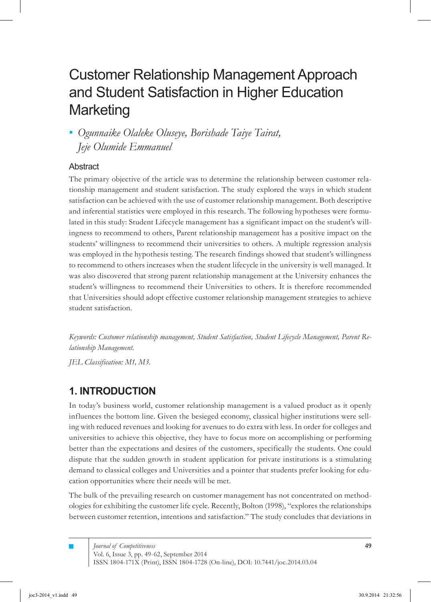# Customer Relationship Management Approach and Student Satisfaction in Higher Education **Marketing**

*Ogunnaike Olaleke Oluseye, Borishade Taiye Tairat, ▪ Jeje Olumide Emmanuel*

# Abstract

The primary objective of the article was to determine the relationship between customer relationship management and student satisfaction. The study explored the ways in which student satisfaction can be achieved with the use of customer relationship management. Both descriptive and inferential statistics were employed in this research. The following hypotheses were formulated in this study: Student Lifecycle management has a significant impact on the student's willingness to recommend to others, Parent relationship management has a positive impact on the students' willingness to recommend their universities to others. A multiple regression analysis was employed in the hypothesis testing. The research findings showed that student's willingness to recommend to others increases when the student lifecycle in the university is well managed. It was also discovered that strong parent relationship management at the University enhances the student's willingness to recommend their Universities to others. It is therefore recommended that Universities should adopt effective customer relationship management strategies to achieve student satisfaction.

*Keywords: Customer relationship management, Student Satisfaction, Student Lifecycle Management, Parent Relationship Management.*

*JEL Classification: M1, M3.*

# **1. INTRODUCTION**

In today's business world, customer relationship management is a valued product as it openly influences the bottom line. Given the besieged economy, classical higher institutions were selling with reduced revenues and looking for avenues to do extra with less. In order for colleges and universities to achieve this objective, they have to focus more on accomplishing or performing better than the expectations and desires of the customers, specifically the students. One could dispute that the sudden growth in student application for private institutions is a stimulating demand to classical colleges and Universities and a pointer that students prefer looking for education opportunities where their needs will be met.

The bulk of the prevailing research on customer management has not concentrated on methodologies for exhibiting the customer life cycle. Recently, Bolton (1998), "explores the relationships between customer retention, intentions and satisfaction." The study concludes that deviations in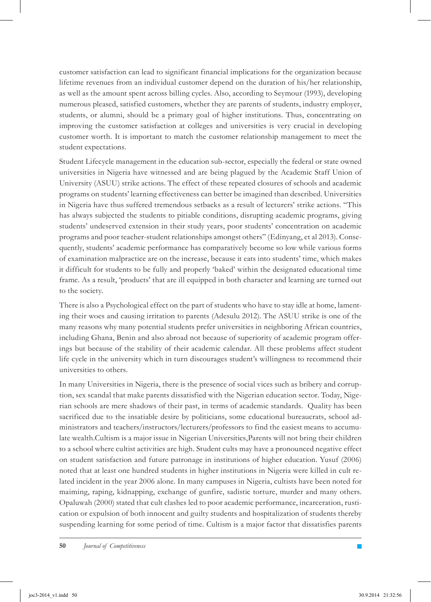customer satisfaction can lead to significant financial implications for the organization because lifetime revenues from an individual customer depend on the duration of his/her relationship, as well as the amount spent across billing cycles. Also, according to Seymour (1993), developing numerous pleased, satisfied customers, whether they are parents of students, industry employer, students, or alumni, should be a primary goal of higher institutions. Thus, concentrating on improving the customer satisfaction at colleges and universities is very crucial in developing customer worth. It is important to match the customer relationship management to meet the student expectations.

Student Lifecycle management in the education sub-sector, especially the federal or state owned universities in Nigeria have witnessed and are being plagued by the Academic Staff Union of University (ASUU) strike actions. The effect of these repeated closures of schools and academic programs on students' learning effectiveness can better be imagined than described. Universities in Nigeria have thus suffered tremendous setbacks as a result of lecturers' strike actions. "This has always subjected the students to pitiable conditions, disrupting academic programs, giving students' undeserved extension in their study years, poor students' concentration on academic programs and poor teacher-student relationships amongst others" (Edinyang, et al 2013). Consequently, students' academic performance has comparatively become so low while various forms of examination malpractice are on the increase, because it eats into students' time, which makes it difficult for students to be fully and properly 'baked' within the designated educational time frame. As a result, 'products' that are ill equipped in both character and learning are turned out to the society.

There is also a Psychological effect on the part of students who have to stay idle at home, lamenting their woes and causing irritation to parents (Adesulu 2012). The ASUU strike is one of the many reasons why many potential students prefer universities in neighboring African countries, including Ghana, Benin and also abroad not because of superiority of academic program offerings but because of the stability of their academic calendar. All these problems affect student life cycle in the university which in turn discourages student's willingness to recommend their universities to others.

In many Universities in Nigeria, there is the presence of social vices such as bribery and corruption, sex scandal that make parents dissatisfied with the Nigerian education sector. Today, Nigerian schools are mere shadows of their past, in terms of academic standards. Quality has been sacrificed due to the insatiable desire by politicians, some educational bureaucrats, school administrators and teachers/instructors/lecturers/professors to find the easiest means to accumulate wealth.Cultism is a major issue in Nigerian Universities,Parents will not bring their children to a school where cultist activities are high. Student cults may have a pronounced negative effect on student satisfaction and future patronage in institutions of higher education. Yusuf (2006) noted that at least one hundred students in higher institutions in Nigeria were killed in cult related incident in the year 2006 alone. In many campuses in Nigeria, cultists have been noted for maiming, raping, kidnapping, exchange of gunfire, sadistic torture, murder and many others. Opaluwah (2000) stated that cult clashes led to poor academic performance, incarceration, rustication or expulsion of both innocent and guilty students and hospitalization of students thereby suspending learning for some period of time. Cultism is a major factor that dissatisfies parents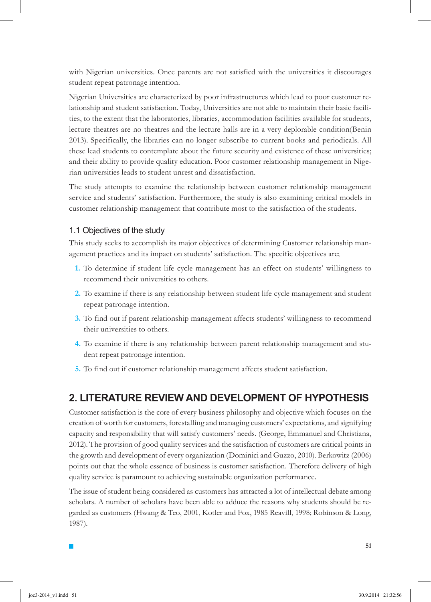with Nigerian universities. Once parents are not satisfied with the universities it discourages student repeat patronage intention.

Nigerian Universities are characterized by poor infrastructures which lead to poor customer relationship and student satisfaction. Today, Universities are not able to maintain their basic facilities, to the extent that the laboratories, libraries, accommodation facilities available for students, lecture theatres are no theatres and the lecture halls are in a very deplorable condition(Benin 2013). Specifically, the libraries can no longer subscribe to current books and periodicals. All these lead students to contemplate about the future security and existence of these universities; and their ability to provide quality education. Poor customer relationship management in Nigerian universities leads to student unrest and dissatisfaction.

The study attempts to examine the relationship between customer relationship management service and students' satisfaction. Furthermore, the study is also examining critical models in customer relationship management that contribute most to the satisfaction of the students.

# 1.1 Objectives of the study

 $\Box$ 

This study seeks to accomplish its major objectives of determining Customer relationship management practices and its impact on students' satisfaction. The specific objectives are;

- To determine if student life cycle management has an effect on students' willingness to **1.** recommend their universities to others.
- 2. To examine if there is any relationship between student life cycle management and student repeat patronage intention.
- 3. To find out if parent relationship management affects students' willingness to recommend their universities to others.
- 4. To examine if there is any relationship between parent relationship management and student repeat patronage intention.
- 5. To find out if customer relationship management affects student satisfaction.

# **2. LITERATURE REVIEW AND DEVELOPMENT OF HYPOTHESIS**

Customer satisfaction is the core of every business philosophy and objective which focuses on the creation of worth for customers, forestalling and managing customers' expectations, and signifying capacity and responsibility that will satisfy customers' needs. (George, Emmanuel and Christiana, 2012). The provision of good quality services and the satisfaction of customers are critical points in the growth and development of every organization (Dominici and Guzzo, 2010). Berkowitz (2006) points out that the whole essence of business is customer satisfaction. Therefore delivery of high quality service is paramount to achieving sustainable organization performance.

The issue of student being considered as customers has attracted a lot of intellectual debate among scholars. A number of scholars have been able to adduce the reasons why students should be regarded as customers (Hwang & Teo, 2001, Kotler and Fox, 1985 Reavill, 1998; Robinson & Long, 1987).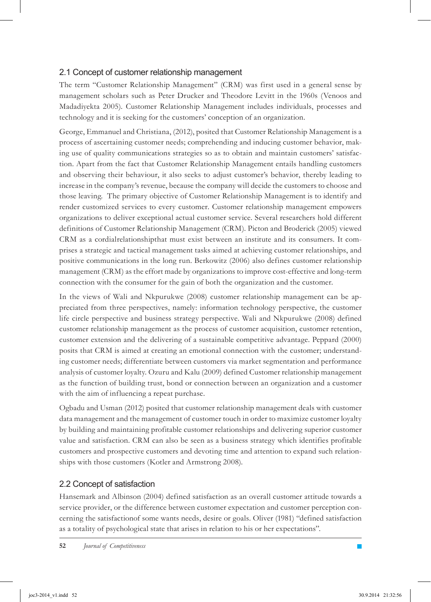### 2.1 Concept of customer relationship management

The term "Customer Relationship Management" (CRM) was first used in a general sense by management scholars such as Peter Drucker and Theodore Levitt in the 1960s (Venoos and Madadiyekta 2005). Customer Relationship Management includes individuals, processes and technology and it is seeking for the customers' conception of an organization.

George, Emmanuel and Christiana, (2012), posited that Customer Relationship Management is a process of ascertaining customer needs; comprehending and inducing customer behavior, making use of quality communications strategies so as to obtain and maintain customers' satisfaction. Apart from the fact that Customer Relationship Management entails handling customers and observing their behaviour, it also seeks to adjust customer's behavior, thereby leading to increase in the company's revenue, because the company will decide the customers to choose and those leaving. The primary objective of Customer Relationship Management is to identify and render customized services to every customer. Customer relationship management empowers organizations to deliver exceptional actual customer service. Several researchers hold different definitions of Customer Relationship Management (CRM). Picton and Broderick (2005) viewed CRM as a cordialrelationshipthat must exist between an institute and its consumers. It comprises a strategic and tactical management tasks aimed at achieving customer relationships, and positive communications in the long run. Berkowitz (2006) also defines customer relationship management (CRM) as the effort made by organizations to improve cost-effective and long-term connection with the consumer for the gain of both the organization and the customer.

In the views of Wali and Nkpurukwe (2008) customer relationship management can be appreciated from three perspectives, namely: information technology perspective, the customer life circle perspective and business strategy perspective. Wali and Nkpurukwe (2008) defined customer relationship management as the process of customer acquisition, customer retention, customer extension and the delivering of a sustainable competitive advantage. Peppard (2000) posits that CRM is aimed at creating an emotional connection with the customer; understanding customer needs; differentiate between customers via market segmentation and performance analysis of customer loyalty. Ozuru and Kalu (2009) defined Customer relationship management as the function of building trust, bond or connection between an organization and a customer with the aim of influencing a repeat purchase.

Ogbadu and Usman (2012) posited that customer relationship management deals with customer data management and the management of customer touch in order to maximize customer loyalty by building and maintaining profitable customer relationships and delivering superior customer value and satisfaction. CRM can also be seen as a business strategy which identifies profitable customers and prospective customers and devoting time and attention to expand such relationships with those customers (Kotler and Armstrong 2008).

## 2.2 Concept of satisfaction

Hansemark and Albinson (2004) defined satisfaction as an overall customer attitude towards a service provider, or the difference between customer expectation and customer perception concerning the satisfactionof some wants needs, desire or goals. Oliver (1981) "defined satisfaction as a totality of psychological state that arises in relation to his or her expectations".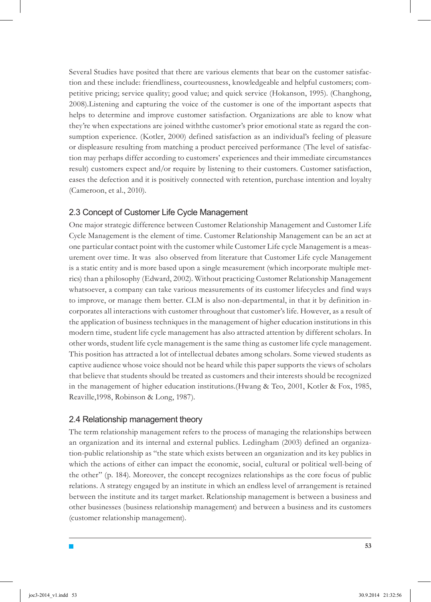Several Studies have posited that there are various elements that bear on the customer satisfaction and these include: friendliness, courteousness, knowledgeable and helpful customers; competitive pricing; service quality; good value; and quick service (Hokanson, 1995). (Changhong, 2008).Listening and capturing the voice of the customer is one of the important aspects that helps to determine and improve customer satisfaction. Organizations are able to know what they're when expectations are joined withthe customer's prior emotional state as regard the consumption experience. (Kotler, 2000) defined satisfaction as an individual's feeling of pleasure or displeasure resulting from matching a product perceived performance (The level of satisfaction may perhaps differ according to customers' experiences and their immediate circumstances result) customers expect and/or require by listening to their customers. Customer satisfaction, eases the defection and it is positively connected with retention, purchase intention and loyalty (Cameroon, et al., 2010).

# 2.3 Concept of Customer Life Cycle Management

One major strategic difference between Customer Relationship Management and Customer Life Cycle Management is the element of time. Customer Relationship Management can be an act at one particular contact point with the customer while Customer Life cycle Management is a measurement over time. It was also observed from literature that Customer Life cycle Management is a static entity and is more based upon a single measurement (which incorporate multiple metrics) than a philosophy (Edward, 2002). Without practicing Customer Relationship Management whatsoever, a company can take various measurements of its customer lifecycles and find ways to improve, or manage them better. CLM is also non-departmental, in that it by definition incorporates all interactions with customer throughout that customer's life. However, as a result of the application of business techniques in the management of higher education institutions in this modern time, student life cycle management has also attracted attention by different scholars. In other words, student life cycle management is the same thing as customer life cycle management. This position has attracted a lot of intellectual debates among scholars. Some viewed students as captive audience whose voice should not be heard while this paper supports the views of scholars that believe that students should be treated as customers and their interests should be recognized in the management of higher education institutions.(Hwang & Teo, 2001, Kotler & Fox, 1985, Reaville,1998, Robinson & Long, 1987).

# 2.4 Relationship management theory

n,

The term relationship management refers to the process of managing the relationships between an organization and its internal and external publics. Ledingham (2003) defined an organization-public relationship as "the state which exists between an organization and its key publics in which the actions of either can impact the economic, social, cultural or political well-being of the other" (p. 184). Moreover, the concept recognizes relationships as the core focus of public relations. A strategy engaged by an institute in which an endless level of arrangement is retained between the institute and its target market. Relationship management is between a business and other businesses (business relationship management) and between a business and its customers (customer relationship management).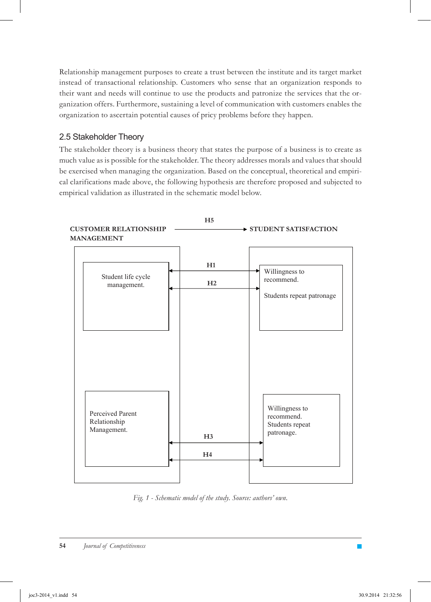Relationship management purposes to create a trust between the institute and its target market instead of transactional relationship. Customers who sense that an organization responds to their want and needs will continue to use the products and patronize the services that the organization offers. Furthermore, sustaining a level of communication with customers enables the organization to ascertain potential causes of pricy problems before they happen.

# 2.5 Stakeholder Theory

The stakeholder theory is a business theory that states the purpose of a business is to create as much value as is possible for the stakeholder. The theory addresses morals and values that should be exercised when managing the organization. Based on the conceptual, theoretical and empirical clarifications made above, the following hypothesis are therefore proposed and subjected to empirical validation as illustrated in the schematic model below.



*Fig. 1 - Schematic model of the study. Source: authors' own.*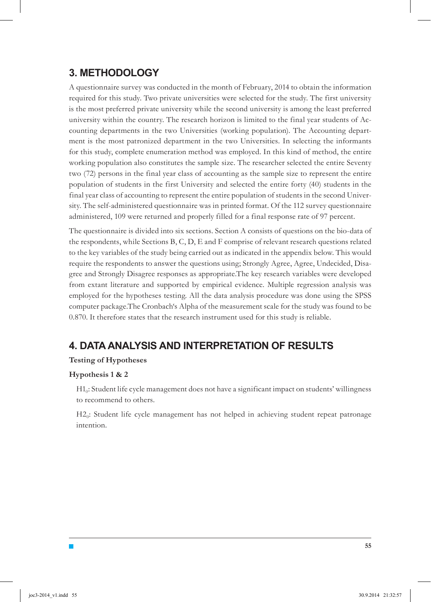# **3. METHODOLOGY**

A questionnaire survey was conducted in the month of February, 2014 to obtain the information required for this study. Two private universities were selected for the study. The first university is the most preferred private university while the second university is among the least preferred university within the country. The research horizon is limited to the final year students of Accounting departments in the two Universities (working population). The Accounting department is the most patronized department in the two Universities. In selecting the informants for this study, complete enumeration method was employed. In this kind of method, the entire working population also constitutes the sample size. The researcher selected the entire Seventy two (72) persons in the final year class of accounting as the sample size to represent the entire population of students in the first University and selected the entire forty (40) students in the final year class of accounting to represent the entire population of students in the second University. The self-administered questionnaire was in printed format. Of the 112 survey questionnaire administered, 109 were returned and properly filled for a final response rate of 97 percent.

The questionnaire is divided into six sections. Section A consists of questions on the bio-data of the respondents, while Sections B, C, D, E and F comprise of relevant research questions related to the key variables of the study being carried out as indicated in the appendix below. This would require the respondents to answer the questions using; Strongly Agree, Agree, Undecided, Disagree and Strongly Disagree responses as appropriate.The key research variables were developed from extant literature and supported by empirical evidence. Multiple regression analysis was employed for the hypotheses testing. All the data analysis procedure was done using the SPSS computer package.The Cronbach's Alpha of the measurement scale for the study was found to be 0.870. It therefore states that the research instrument used for this study is reliable.

# **4. DATA ANALYSIS AND INTERPRETATION OF RESULTS**

#### **Testing of Hypotheses**

#### **Hypothesis 1 & 2**

 $\overline{\phantom{a}}$ 

 $H_0$ : Student life cycle management does not have a significant impact on students' willingness to recommend to others.

 $H2<sub>0</sub>$ : Student life cycle management has not helped in achieving student repeat patronage intention.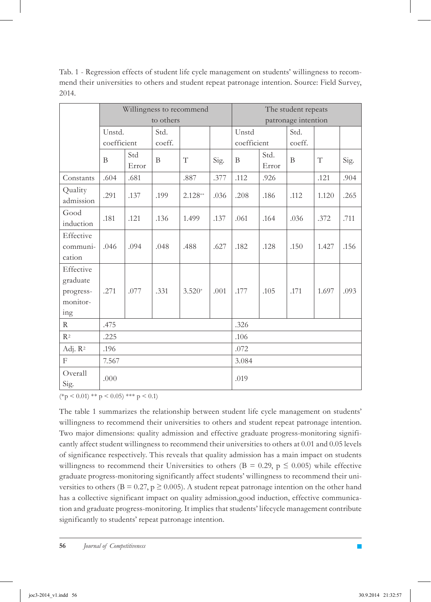Tab. 1 - Regression effects of student life cycle management on students' willingness to recommend their universities to others and student repeat patronage intention. Source: Field Survey, 2014.

|                                                       |             |              |           | Willingness to recommend | The student repeats |             |               |        |       |      |
|-------------------------------------------------------|-------------|--------------|-----------|--------------------------|---------------------|-------------|---------------|--------|-------|------|
|                                                       |             |              | to others |                          | patronage intention |             |               |        |       |      |
|                                                       | Unstd.      |              | Std.      |                          |                     | Unstd       |               | Std.   |       |      |
|                                                       | coefficient |              | coeff.    |                          |                     | coefficient |               | coeff. |       |      |
|                                                       | B           | Std<br>Error | B         | T                        | Sig.                | B           | Std.<br>Error | B      | T     | Sig. |
| Constants                                             | .604        | .681         |           | .887                     | .377                | .112        | .926          |        | .121  | .904 |
| Quality<br>admission                                  | .291        | .137         | .199      | $2.128**$                | .036                | .208        | .186          | .112   | 1.120 | .265 |
| Good<br>induction                                     | .181        | .121         | .136      | 1.499                    | .137                | .061        | .164          | .036   | .372  | .711 |
| Effective<br>communi-<br>cation                       | .046        | .094         | .048      | .488                     | .627                | .182        | .128          | .150   | 1.427 | .156 |
| Effective<br>graduate<br>progress-<br>monitor-<br>ing | .271        | .077         | .331      | $3.520*$                 | .001                | .177        | .105          | .171   | 1.697 | .093 |
| $\mathbf R$                                           | .475        |              |           |                          |                     | .326        |               |        |       |      |
| R <sup>2</sup>                                        | .225        |              |           |                          | .106                |             |               |        |       |      |
| Adj. R <sup>2</sup>                                   | .196        |              |           |                          |                     | .072        |               |        |       |      |
| F                                                     | 7.567       |              |           |                          | 3.084               |             |               |        |       |      |
| Overall<br>$\mathrm{Sig.}$                            | .000        |              |           |                          |                     | .019        |               |        |       |      |

 $(*p < 0.01) ** p < 0.05$ ) \*\*\*  $p < 0.1$ 

The table 1 summarizes the relationship between student life cycle management on students' willingness to recommend their universities to others and student repeat patronage intention. Two major dimensions: quality admission and effective graduate progress-monitoring significantly affect student willingness to recommend their universities to others at 0.01 and 0.05 levels of significance respectively. This reveals that quality admission has a main impact on students willingness to recommend their Universities to others (B = 0.29,  $p \le 0.005$ ) while effective graduate progress-monitoring significantly affect students' willingness to recommend their universities to others ( $B = 0.27$ ,  $p \ge 0.005$ ). A student repeat patronage intention on the other hand has a collective significant impact on quality admission,good induction, effective communication and graduate progress-monitoring. It implies that students' lifecycle management contribute significantly to students' repeat patronage intention.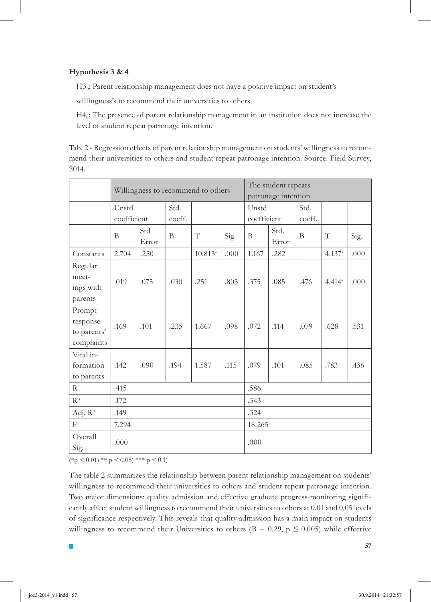#### **Hypothesis 3 & 4**

H3<sub>0</sub>: Parent relationship management does not have a positive impact on student's

willingness's to recommend their universities to others.

 $H_0$ : The presence of parent relationship management in an institution does not increase the level of student repeat patronage intention.

Tab. 2 - Regression effects of parent relationship management on students' willingness to recommend their universities to others and student repeat patronage intention. Source: Field Survey, 2014.

|                                                 | Willingness to recommend to others |              |        |           |      |             | The student repeats |        |             |      |  |
|-------------------------------------------------|------------------------------------|--------------|--------|-----------|------|-------------|---------------------|--------|-------------|------|--|
|                                                 |                                    |              |        |           |      |             | patronage intention |        |             |      |  |
|                                                 | Unstd.                             |              | Std.   |           |      | Unstd       |                     | Std.   |             |      |  |
|                                                 | coefficient                        |              | coeff. |           |      | coefficient |                     | coeff. |             |      |  |
|                                                 | B                                  | Std<br>Error | B      | T         | Sig. | B           | Std.<br>Error       | B      | $\mathbf T$ | Sig. |  |
| Constants                                       | 2.704                              | .250         |        | $10.813*$ | .000 | 1.167       | .282                |        | $4.137*$    | .000 |  |
| Regular<br>meet-<br>ings with<br>parents        | .019                               | .075         | .030   | .251      | .803 | .375        | .085                | .476   | $4.414*$    | .000 |  |
| Prompt<br>response<br>to parents'<br>complaints | .169                               | .101         | .235   | 1.667     | .098 | .072        | .114                | .079   | .628        | .531 |  |
| Vital in-<br>formation<br>to parents            | .142                               | .090         | .194   | 1.587     | .115 | .079        | .101                | .085   | .783        | .436 |  |
| $\mathbb{R}$                                    | .415                               |              |        |           |      | .586        |                     |        |             |      |  |
| R <sup>2</sup>                                  | .172                               |              |        |           |      | .343        |                     |        |             |      |  |
| Adj. R <sup>2</sup>                             | .149                               |              |        |           |      |             | .324                |        |             |      |  |
| F                                               | 7.294                              |              |        |           |      | 18.265      |                     |        |             |      |  |
| Overall<br>Sig.                                 | .000                               |              |        |           |      | .000        |                     |        |             |      |  |

 $(*p < 0.01) ** p < 0.05) ** p < 0.1)$ 

 $\overline{\phantom{a}}$ 

The table 2 summarizes the relationship between parent relationship management on students' willingness to recommend their universities to others and student repeat patronage intention. Two major dimensions: quality admission and effective graduate progress-monitoring significantly affect student willingness to recommend their universities to others at 0.01 and 0.05 levels of significance respectively. This reveals that quality admission has a main impact on students willingness to recommend their Universities to others (B = 0.29,  $p \le 0.005$ ) while effective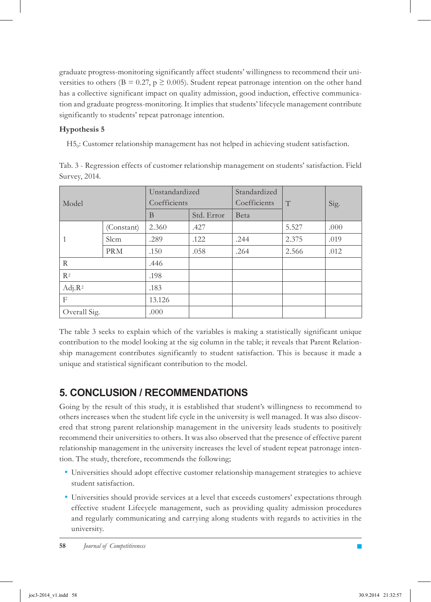graduate progress-monitoring significantly affect students' willingness to recommend their universities to others (B = 0.27,  $p \ge 0.005$ ). Student repeat patronage intention on the other hand has a collective significant impact on quality admission, good induction, effective communication and graduate progress-monitoring. It implies that students' lifecycle management contribute significantly to students' repeat patronage intention.

#### **Hypothesis 5**

H5<sub>0</sub>: Customer relationship management has not helped in achieving student satisfaction.

|               |  |  | Tab. 3 - Regression effects of customer relationship management on students' satisfaction. Field |  |  |
|---------------|--|--|--------------------------------------------------------------------------------------------------|--|--|
| Survey, 2014. |  |  |                                                                                                  |  |  |

| Model              |            | Unstandardized<br>Coefficients |            | Standardized<br>Coefficients | T     |      |  |
|--------------------|------------|--------------------------------|------------|------------------------------|-------|------|--|
|                    |            |                                |            |                              |       | Sig. |  |
|                    |            | B                              | Std. Error | Beta                         |       |      |  |
|                    | (Constant) | 2.360                          | .427       |                              | 5.527 | .000 |  |
|                    | Slcm       | .289                           | .122       | .244                         | 2.375 | .019 |  |
|                    | <b>PRM</b> | .150                           | .058       | .264                         | 2.566 | .012 |  |
| R                  |            | .446                           |            |                              |       |      |  |
| R <sup>2</sup>     |            | .198                           |            |                              |       |      |  |
| Adj.R <sup>2</sup> |            | .183                           |            |                              |       |      |  |
| F                  |            | 13.126                         |            |                              |       |      |  |
| Overall Sig.       |            | .000                           |            |                              |       |      |  |

The table 3 seeks to explain which of the variables is making a statistically significant unique contribution to the model looking at the sig column in the table; it reveals that Parent Relationship management contributes significantly to student satisfaction. This is because it made a unique and statistical significant contribution to the model.

# **5. CONCLUSION / RECOMMENDATIONS**

Going by the result of this study, it is established that student's willingness to recommend to others increases when the student life cycle in the university is well managed. It was also discovered that strong parent relationship management in the university leads students to positively recommend their universities to others. It was also observed that the presence of effective parent relationship management in the university increases the level of student repeat patronage intention. The study, therefore, recommends the following;

- Universities should adopt effective customer relationship management strategies to achieve student satisfaction.
- Universities should provide services at a level that exceeds customers' expectations through effective student Lifecycle management, such as providing quality admission procedures and regularly communicating and carrying along students with regards to activities in the university.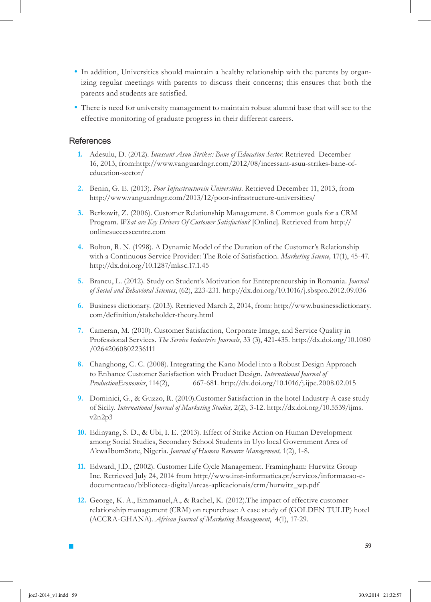- In addition, Universities should maintain a healthy relationship with the parents by organ izing regular meetings with parents to discuss their concerns; this ensures that both the parents and students are satisfied.
- There is need for university management to maintain robust alumni base that will see to the effective monitoring of graduate progress in their different careers.

#### **References**

 $\overline{\phantom{a}}$ 

- Adesulu, D. (2012). *Incessant Asuu Strikes: Bane of Education Sector.* Retrieved December **1.** 16, 2013, from:http://www.vanguardngr.com/2012/08/incessant-asuu-strikes-bane-ofeducation-sector/
- Benin, G. E. (2013). *Poor Infrastructurein Universities*. Retrieved December 11, 2013, from **.** http://www.vanguardngr.com/2013/12/poor-infrastructure-universities/
- Berkowit, Z. (2006). Customer Relationship Management. 8 Common goals for a CRM **.** Program. *What are Key Drivers Of Customer Satisfaction?* [Online]. Retrieved from http:// onlinesuccesscentre.com
- 4. Bolton, R. N. (1998). A Dynamic Model of the Duration of the Customer's Relationship with a Continuous Service Provider: The Role of Satisfaction. *Marketing Science,* 17(1), 45-47. http://dx.doi.org/10.1287/mksc.17.1.45
- Brancu, L. (2012). Study on Student's Motivation for Entrepreneurship in Romania. *Journal*  **.** *of Social and Behavioral Sciences*, (62), 223-231. http://dx.doi.org/10.1016/j.sbspro.2012.09.036
- Business dictionary. (2013). Retrieved March 2, 2014, from: http://www.businessdictionary. **.** com/definition/stakeholder-theory.html
- 7. Cameran, M. (2010). Customer Satisfaction, Corporate Image, and Service Quality in Professional Services. *The Service Industries Journals*, 33 (3), 421-435. http://dx.doi.org/10.1080 /02642060802236111
- Changhong, C. C. (2008). Integrating the Kano Model into a Robust Design Approach **.** to Enhance Customer Satisfaction with Product Design. *International Journal of ProductionEconomics*, 114(2), 667-681. http://dx.doi.org/10.1016/j.ijpe.2008.02.015
- 9. Dominici, G., & Guzzo, R. (2010).Customer Satisfaction in the hotel Industry-A case study of Sicily. *International Journal of Marketing Studies,* 2(2), 3-12. http://dx.doi.org/10.5539/ijms. v2n2p3
- Edinyang, S. D., & Ubi, I. E. (2013). Effect of Strike Action on Human Development **10.** among Social Studies, Secondary School Students in Uyo local Government Area of AkwaIbomState, Nigeria. *Journal of Human Resource Management,* 1(2), 1-8.
- Edward, J.D., (2002). Customer Life Cycle Management. Framingham: Hurwitz Group **11.** Inc. Retrieved July 24, 2014 from http://www.inst-informatica.pt/servicos/informacao-edocumentacao/biblioteca-digital/areas-aplicacionais/crm/hurwitz\_wp.pdf
- 12. George, K. A., Emmanuel, A., & Rachel, K. (2012). The impact of effective customer relationship management (CRM) on repurchase: A case study of (GOLDEN TULIP) hotel (ACCRA-GHANA). *African Journal of Marketing Management*, 4(1), 17-29.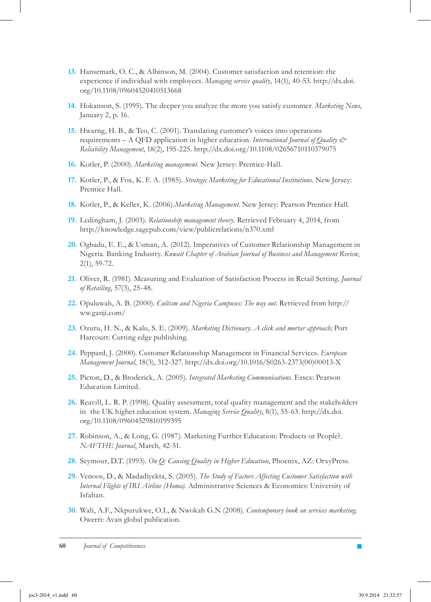- 13. Hansemark, O. C., & Albinson, M. (2004). Customer satisfaction and retention: the experience if individual with employees. *Managing service quality*, 14(1), 40-53. http://dx.doi. org/10.1108/09604520410513668
- Hokanson, S. (1995). The deeper you analyze the more you satisfy customer. *Marketing News*, **1.** January 2, p. 16.
- 15. Hwarng, H. B., & Teo, C. (2001). Translating customer's voices into operations requirements – A QFD application in higher education. *International Journal of Quality & Reliability Management*, 18(2), 195-225. http://dx.doi.org/10.1108/02656710110379075
- 16. Kotler, P. (2000). Marketing management. New Jersey: Prentice-Hall.
- 17. Kotler, P., & Fox, K. F. A. (1985). *Strategic Marketing for Educational Institutions*. New Jersey: Prentice Hall.
- 18. Kotler, P., & Keller, K. (2006). Marketing Management. New Jersey: Pearson Prentice Hall.
- Ledingham, J. (2003). *Relationship management theory.* Retrieved February 4, 2014, from **1.** http://knowledge.sagepub.com/view/publicrelations/n370.xml
- 20. Ogbadu, E. E., & Usman, A. (2012). Imperatives of Customer Relationship Management in Nigeria. Banking Industry. *Kuwait Chapter of Arabian Journal of Business and Management Review*, 2(1), 59-72.
- 21. Oliver, R. (1981). Measuring and Evaluation of Satisfaction Process in Retail Setting. *Journal of Retailing*, 57(3), 25-48.
- 22. Opaluwah, A. B. (2000). *Cultism and Nigeria Campuses: The way out*. Retrieved from http:// ww.ganji.com/
- 23. Ozuru, H. N., & Kalu, S. E. (2009). *Marketing Dictionary. A click and mortar approach;* Port Harcourt: Cutting edge publishing.
- 24. Peppard, J. (2000). Customer Relationship Management in Financial Services. *European Management Journal*, 18(3), 312-327. http://dx.doi.org/10.1016/S0263-2373(00)00013-X
- 25. Picton, D., & Broderick, A. (2005). Integrated Marketing Communications. Essex: Pearson Education Limited.
- 26. Reavill, L. R. P. (1998). Quality assessment, total quality management and the stakeholders in the UK higher education system. *Managing Service Quality*, 8(1), 55-63. http://dx.doi. org/10.1108/09604529810199395
- 27. Robinson, A., & Long, G. (1987). Marketing Further Education: Products or People?. *NAFTHE Journal*, March, 42-51.
- 28. Seymour, D.T. (1993). On Q: Causing Quality in Higher Education, Phoenix, AZ: OrxyPress.
- 29. Venoos, D., & Madadiyekta, S. (2005). The Study of Factors Affecting Customer Satisfaction with *Internal Flights of IRI Airline (Homa)*. Administrative Sciences & Economics: University of Isfahan.
- Wali, A.F., Nkpurukwe, O.I., & Nwokah G.N (2008). *Contemporary book on services marketing*. **0.** Owerri: Avan global publication.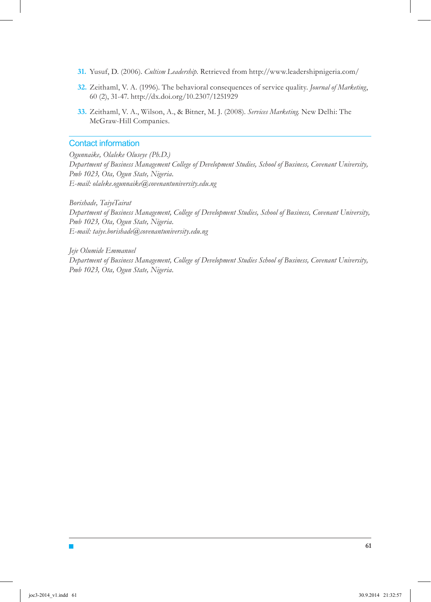- 31. Yusuf, D. (2006). *Cultism Leadership*. Retrieved from http://www.leadershipnigeria.com/
- 32. Zeithaml, V. A. (1996). The behavioral consequences of service quality. *Journal of Marketing*, 60 (2), 31-47. http://dx.doi.org/10.2307/1251929
- 33. Zeithaml, V. A., Wilson, A., & Bitner, M. J. (2008). *Services Marketing*. New Delhi: The McGraw-Hill Companies.

### Contact information

 $\overline{\phantom{a}}$ 

*Ogunnaike, Olaleke Oluseye (Ph.D.) Department of Business Management College of Development Studies, School of Business, Covenant University, Pmb 1023, Ota, Ogun State, Nigeria. E-mail: olaleke.ogunnaike@covenantuniversity.edu.ng* 

*Borishade, TaiyeTairat Department of Business Management, College of Development Studies, School of Business, Covenant University, Pmb 1023, Ota, Ogun State, Nigeria. E-mail: taiye.borishade@covenantuniversity.edu.ng*

*Jeje Olumide Emmanuel Department of Business Management, College of Development Studies School of Business, Covenant University, Pmb 1023, Ota, Ogun State, Nigeria.*